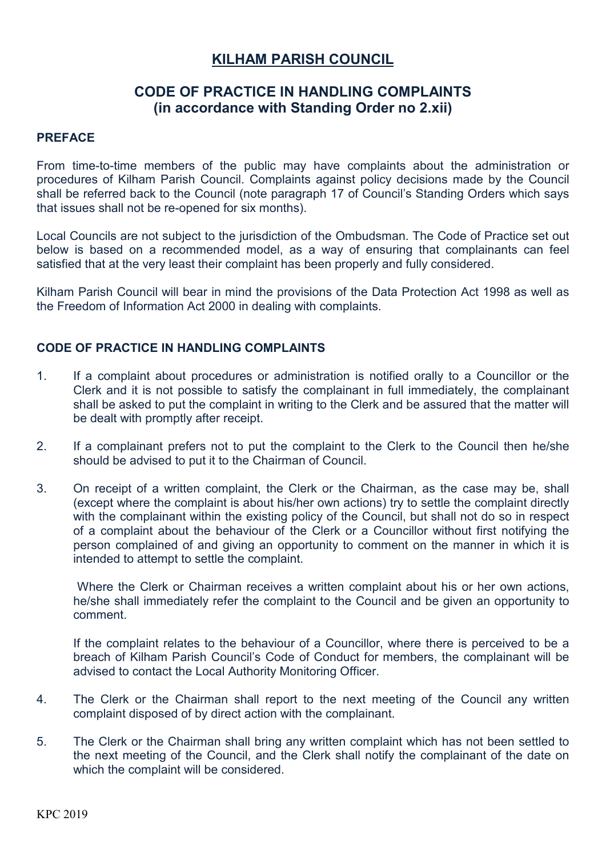## **KILHAM PARISH COUNCIL**

## **CODE OF PRACTICE IN HANDLING COMPLAINTS (in accordance with Standing Order no 2.xii)**

## **PREFACE**

From time-to-time members of the public may have complaints about the administration or procedures of Kilham Parish Council. Complaints against policy decisions made by the Council shall be referred back to the Council (note paragraph 17 of Council's Standing Orders which says that issues shall not be re-opened for six months).

Local Councils are not subject to the jurisdiction of the Ombudsman. The Code of Practice set out below is based on a recommended model, as a way of ensuring that complainants can feel satisfied that at the very least their complaint has been properly and fully considered.

Kilham Parish Council will bear in mind the provisions of the Data Protection Act 1998 as well as the Freedom of Information Act 2000 in dealing with complaints.

## **CODE OF PRACTICE IN HANDLING COMPLAINTS**

- 1. If a complaint about procedures or administration is notified orally to a Councillor or the Clerk and it is not possible to satisfy the complainant in full immediately, the complainant shall be asked to put the complaint in writing to the Clerk and be assured that the matter will be dealt with promptly after receipt.
- 2. If a complainant prefers not to put the complaint to the Clerk to the Council then he/she should be advised to put it to the Chairman of Council.
- 3. On receipt of a written complaint, the Clerk or the Chairman, as the case may be, shall (except where the complaint is about his/her own actions) try to settle the complaint directly with the complainant within the existing policy of the Council, but shall not do so in respect of a complaint about the behaviour of the Clerk or a Councillor without first notifying the person complained of and giving an opportunity to comment on the manner in which it is intended to attempt to settle the complaint.

 Where the Clerk or Chairman receives a written complaint about his or her own actions, he/she shall immediately refer the complaint to the Council and be given an opportunity to comment.

 If the complaint relates to the behaviour of a Councillor, where there is perceived to be a breach of Kilham Parish Council's Code of Conduct for members, the complainant will be advised to contact the Local Authority Monitoring Officer.

- 4. The Clerk or the Chairman shall report to the next meeting of the Council any written complaint disposed of by direct action with the complainant.
- 5. The Clerk or the Chairman shall bring any written complaint which has not been settled to the next meeting of the Council, and the Clerk shall notify the complainant of the date on which the complaint will be considered.

KPC 2019